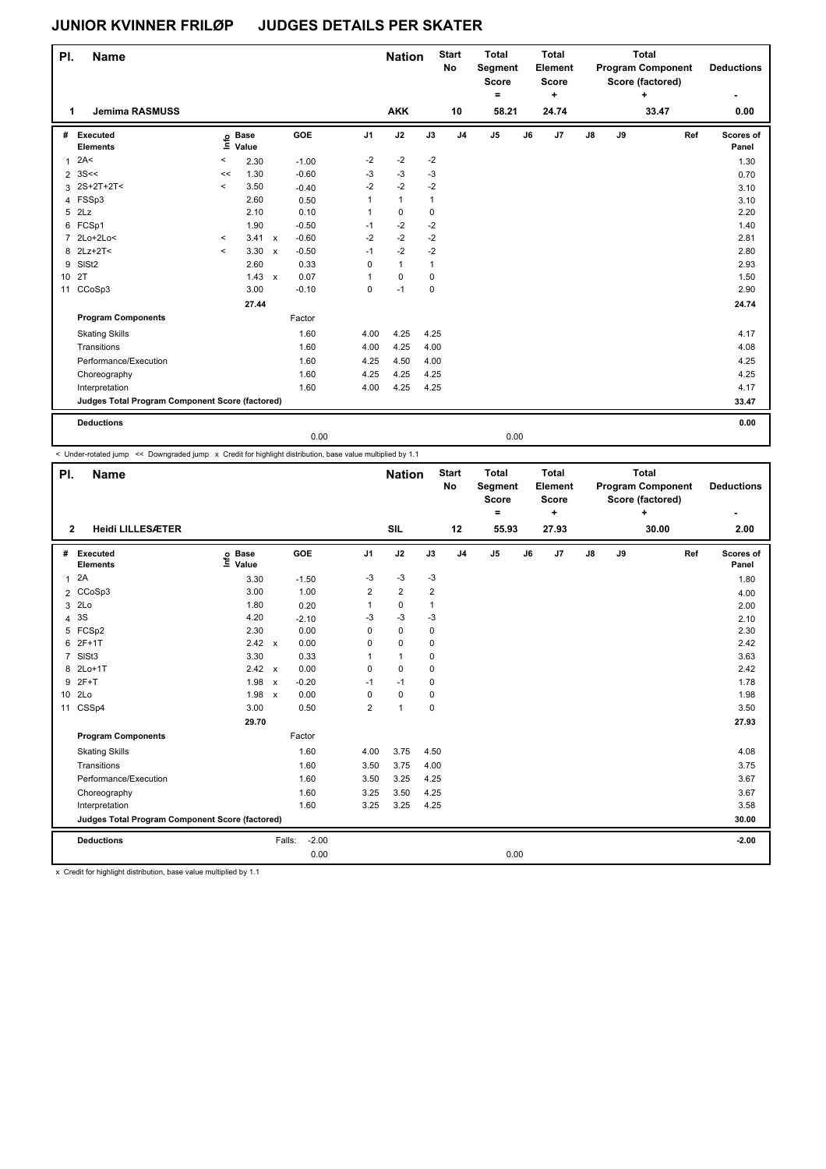| PI.             | <b>Name</b>                                     |          |                            |              |         |                | <b>Nation</b> |              | <b>Start</b><br><b>No</b> | <b>Total</b><br>Segment<br><b>Score</b> |    | <b>Total</b><br>Element<br><b>Score</b> |               |    | <b>Total</b><br><b>Program Component</b><br>Score (factored) |     | <b>Deductions</b>  |
|-----------------|-------------------------------------------------|----------|----------------------------|--------------|---------|----------------|---------------|--------------|---------------------------|-----------------------------------------|----|-----------------------------------------|---------------|----|--------------------------------------------------------------|-----|--------------------|
|                 |                                                 |          |                            |              |         |                |               |              |                           | ٠                                       |    | $\ddot{}$                               |               |    | ÷                                                            |     | ۰                  |
| 1.              | <b>Jemima RASMUSS</b>                           |          |                            |              |         |                | <b>AKK</b>    |              | 10                        | 58.21                                   |    | 24.74                                   |               |    | 33.47                                                        |     | 0.00               |
| #               | Executed<br><b>Elements</b>                     |          | e Base<br>E Value<br>Value |              | GOE     | J <sub>1</sub> | J2            | J3           | J <sub>4</sub>            | J5                                      | J6 | J7                                      | $\mathsf{J}8$ | J9 |                                                              | Ref | Scores of<br>Panel |
| $\mathbf{1}$    | 2A<                                             | $\,<\,$  | 2.30                       |              | $-1.00$ | $-2$           | $-2$          | $-2$         |                           |                                         |    |                                         |               |    |                                                              |     | 1.30               |
| $\overline{2}$  | 3S<<                                            | <<       | 1.30                       |              | $-0.60$ | $-3$           | $-3$          | $-3$         |                           |                                         |    |                                         |               |    |                                                              |     | 0.70               |
|                 | 3 2S+2T+2T<                                     | $\hat{}$ | 3.50                       |              | $-0.40$ | $-2$           | $-2$          | $-2$         |                           |                                         |    |                                         |               |    |                                                              |     | 3.10               |
|                 | 4 FSSp3                                         |          | 2.60                       |              | 0.50    | 1              | $\mathbf{1}$  | $\mathbf{1}$ |                           |                                         |    |                                         |               |    |                                                              |     | 3.10               |
| 5               | 2Lz                                             |          | 2.10                       |              | 0.10    | $\mathbf{1}$   | $\pmb{0}$     | $\mathbf 0$  |                           |                                         |    |                                         |               |    |                                                              |     | 2.20               |
| 6               | FCSp1                                           |          | 1.90                       |              | $-0.50$ | $-1$           | $-2$          | $-2$         |                           |                                         |    |                                         |               |    |                                                              |     | 1.40               |
| $\overline{7}$  | 2Lo+2Lo<                                        | $\,<\,$  | 3.41                       | $\mathsf{x}$ | $-0.60$ | $-2$           | $-2$          | $-2$         |                           |                                         |    |                                         |               |    |                                                              |     | 2.81               |
|                 | 8 2Lz+2T<                                       | $\prec$  | 3.30                       | $\mathsf{x}$ | $-0.50$ | $-1$           | $-2$          | $-2$         |                           |                                         |    |                                         |               |    |                                                              |     | 2.80               |
| 9               | SIS <sub>t2</sub>                               |          | 2.60                       |              | 0.33    | 0              | $\mathbf{1}$  | $\mathbf{1}$ |                           |                                         |    |                                         |               |    |                                                              |     | 2.93               |
| 10 <sup>1</sup> | 2T                                              |          | $1.43 \times$              |              | 0.07    | 1              | $\mathbf 0$   | $\mathbf 0$  |                           |                                         |    |                                         |               |    |                                                              |     | 1.50               |
| 11              | CCoSp3                                          |          | 3.00                       |              | $-0.10$ | 0              | $-1$          | $\mathbf 0$  |                           |                                         |    |                                         |               |    |                                                              |     | 2.90               |
|                 |                                                 |          | 27.44                      |              |         |                |               |              |                           |                                         |    |                                         |               |    |                                                              |     | 24.74              |
|                 | <b>Program Components</b>                       |          |                            |              | Factor  |                |               |              |                           |                                         |    |                                         |               |    |                                                              |     |                    |
|                 | <b>Skating Skills</b>                           |          |                            |              | 1.60    | 4.00           | 4.25          | 4.25         |                           |                                         |    |                                         |               |    |                                                              |     | 4.17               |
|                 | Transitions                                     |          |                            |              | 1.60    | 4.00           | 4.25          | 4.00         |                           |                                         |    |                                         |               |    |                                                              |     | 4.08               |
|                 | Performance/Execution                           |          |                            |              | 1.60    | 4.25           | 4.50          | 4.00         |                           |                                         |    |                                         |               |    |                                                              |     | 4.25               |
|                 | Choreography                                    |          |                            |              | 1.60    | 4.25           | 4.25          | 4.25         |                           |                                         |    |                                         |               |    |                                                              |     | 4.25               |
|                 | Interpretation                                  |          |                            |              | 1.60    | 4.00           | 4.25          | 4.25         |                           |                                         |    |                                         |               |    |                                                              |     | 4.17               |
|                 | Judges Total Program Component Score (factored) |          |                            |              |         |                |               |              |                           |                                         |    |                                         |               |    |                                                              |     | 33.47              |
|                 | <b>Deductions</b>                               |          |                            |              |         |                |               |              |                           |                                         |    |                                         |               |    |                                                              |     | 0.00               |
|                 |                                                 |          |                            |              | 0.00    |                |               |              |                           | 0.00                                    |    |                                         |               |    |                                                              |     |                    |

< Under-rotated jump << Downgraded jump x Credit for highlight distribution, base value multiplied by 1.1

| PI.             | <b>Name</b>                                     |                              |              |         |                | <b>Nation</b>  |              | <b>Start</b><br>No | <b>Total</b><br>Segment<br><b>Score</b><br>۰ |    | <b>Total</b><br>Element<br><b>Score</b><br>÷ |    |    | <b>Total</b><br><b>Program Component</b><br>Score (factored)<br>÷ |     | <b>Deductions</b>  |
|-----------------|-------------------------------------------------|------------------------------|--------------|---------|----------------|----------------|--------------|--------------------|----------------------------------------------|----|----------------------------------------------|----|----|-------------------------------------------------------------------|-----|--------------------|
| $\overline{2}$  | <b>Heidi LILLESÆTER</b>                         |                              |              |         |                | <b>SIL</b>     |              | 12                 | 55.93                                        |    | 27.93                                        |    |    | 30.00                                                             |     | 2.00               |
| #               | Executed<br><b>Elements</b>                     | <b>Base</b><br>Info<br>Value |              | GOE     | J <sub>1</sub> | J2             | J3           | J <sub>4</sub>     | J <sub>5</sub>                               | J6 | J7                                           | J8 | J9 |                                                                   | Ref | Scores of<br>Panel |
| $\mathbf{1}$    | 2A                                              | 3.30                         |              | $-1.50$ | $-3$           | $-3$           | $-3$         |                    |                                              |    |                                              |    |    |                                                                   |     | 1.80               |
|                 | 2 CCoSp3                                        | 3.00                         |              | 1.00    | 2              | $\overline{2}$ | 2            |                    |                                              |    |                                              |    |    |                                                                   |     | 4.00               |
| 3               | 2Lo                                             | 1.80                         |              | 0.20    | 1              | $\pmb{0}$      | $\mathbf{1}$ |                    |                                              |    |                                              |    |    |                                                                   |     | 2.00               |
| 4               | 3S                                              | 4.20                         |              | $-2.10$ | -3             | $-3$           | $-3$         |                    |                                              |    |                                              |    |    |                                                                   |     | 2.10               |
| 5               | FCSp2                                           | 2.30                         |              | 0.00    | 0              | $\mathbf 0$    | 0            |                    |                                              |    |                                              |    |    |                                                                   |     | 2.30               |
| 6               | $2F+1T$                                         | 2.42 x                       |              | 0.00    | 0              | $\mathbf 0$    | 0            |                    |                                              |    |                                              |    |    |                                                                   |     | 2.42               |
| $\overline{7}$  | SIS <sub>t3</sub>                               | 3.30                         |              | 0.33    | 1              | $\mathbf{1}$   | 0            |                    |                                              |    |                                              |    |    |                                                                   |     | 3.63               |
| 8               | $2Lo+1T$                                        | $2.42 \times$                |              | 0.00    | 0              | $\mathbf 0$    | 0            |                    |                                              |    |                                              |    |    |                                                                   |     | 2.42               |
| 9               | $2F+T$                                          | 1.98                         | $\pmb{\chi}$ | $-0.20$ | $-1$           | $-1$           | 0            |                    |                                              |    |                                              |    |    |                                                                   |     | 1.78               |
| 10 <sup>1</sup> | 2Lo                                             | 1.98                         | $\mathsf{x}$ | 0.00    | $\Omega$       | $\mathbf 0$    | 0            |                    |                                              |    |                                              |    |    |                                                                   |     | 1.98               |
| 11              | CSSp4                                           | 3.00                         |              | 0.50    | $\overline{2}$ | $\mathbf{1}$   | $\mathbf 0$  |                    |                                              |    |                                              |    |    |                                                                   |     | 3.50               |
|                 |                                                 | 29.70                        |              |         |                |                |              |                    |                                              |    |                                              |    |    |                                                                   |     | 27.93              |
|                 | <b>Program Components</b>                       |                              |              | Factor  |                |                |              |                    |                                              |    |                                              |    |    |                                                                   |     |                    |
|                 | <b>Skating Skills</b>                           |                              |              | 1.60    | 4.00           | 3.75           | 4.50         |                    |                                              |    |                                              |    |    |                                                                   |     | 4.08               |
|                 | Transitions                                     |                              |              | 1.60    | 3.50           | 3.75           | 4.00         |                    |                                              |    |                                              |    |    |                                                                   |     | 3.75               |
|                 | Performance/Execution                           |                              |              | 1.60    | 3.50           | 3.25           | 4.25         |                    |                                              |    |                                              |    |    |                                                                   |     | 3.67               |
|                 | Choreography                                    |                              |              | 1.60    | 3.25           | 3.50           | 4.25         |                    |                                              |    |                                              |    |    |                                                                   |     | 3.67               |
|                 | Interpretation                                  |                              |              | 1.60    | 3.25           | 3.25           | 4.25         |                    |                                              |    |                                              |    |    |                                                                   |     | 3.58               |
|                 | Judges Total Program Component Score (factored) |                              |              |         |                |                |              |                    |                                              |    |                                              |    |    |                                                                   |     | 30.00              |
|                 | <b>Deductions</b>                               |                              | Falls:       | $-2.00$ |                |                |              |                    |                                              |    |                                              |    |    |                                                                   |     | $-2.00$            |
|                 |                                                 |                              |              | 0.00    |                |                |              |                    | 0.00                                         |    |                                              |    |    |                                                                   |     |                    |

x Credit for highlight distribution, base value multiplied by 1.1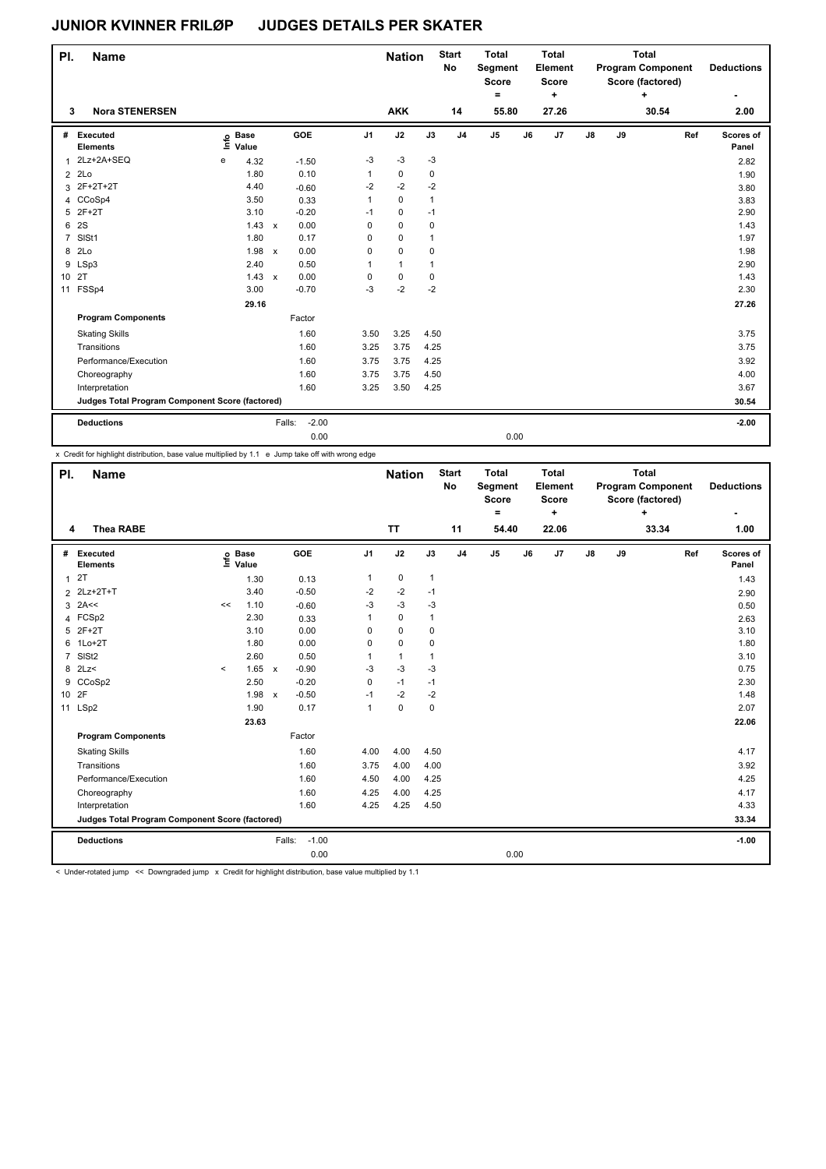| PI.            | <b>Name</b>                                     |                            |                           |         |                | <b>Nation</b> |              | <b>Start</b><br>No | <b>Total</b><br>Segment<br><b>Score</b><br>٠ |    | <b>Total</b><br>Element<br><b>Score</b><br>٠ |    |    | <b>Total</b><br><b>Program Component</b><br>Score (factored)<br>÷ |     | <b>Deductions</b>  |
|----------------|-------------------------------------------------|----------------------------|---------------------------|---------|----------------|---------------|--------------|--------------------|----------------------------------------------|----|----------------------------------------------|----|----|-------------------------------------------------------------------|-----|--------------------|
| 3              | <b>Nora STENERSEN</b>                           |                            |                           |         |                | <b>AKK</b>    |              | 14                 | 55.80                                        |    | 27.26                                        |    |    | 30.54                                                             |     | 2.00               |
| #              | Executed<br><b>Elements</b>                     | e Base<br>E Value<br>Value |                           | GOE     | J <sub>1</sub> | J2            | J3           | J <sub>4</sub>     | $\mathsf{J}5$                                | J6 | J7                                           | J8 | J9 |                                                                   | Ref | Scores of<br>Panel |
| $\mathbf{1}$   | 2Lz+2A+SEQ                                      | 4.32<br>e                  |                           | $-1.50$ | $-3$           | $-3$          | $-3$         |                    |                                              |    |                                              |    |    |                                                                   |     | 2.82               |
| 2              | 2Lo                                             | 1.80                       |                           | 0.10    | 1              | 0             | 0            |                    |                                              |    |                                              |    |    |                                                                   |     | 1.90               |
| 3              | 2F+2T+2T                                        | 4.40                       |                           | $-0.60$ | $-2$           | $-2$          | $-2$         |                    |                                              |    |                                              |    |    |                                                                   |     | 3.80               |
| 4              | CCoSp4                                          | 3.50                       |                           | 0.33    | 1              | $\mathbf 0$   | $\mathbf{1}$ |                    |                                              |    |                                              |    |    |                                                                   |     | 3.83               |
| 5              | $2F+2T$                                         | 3.10                       |                           | $-0.20$ | $-1$           | 0             | $-1$         |                    |                                              |    |                                              |    |    |                                                                   |     | 2.90               |
| 6              | 2S                                              | 1.43                       | $\mathsf{x}$              | 0.00    | 0              | $\Omega$      | $\mathbf 0$  |                    |                                              |    |                                              |    |    |                                                                   |     | 1.43               |
| $\overline{7}$ | SISt1                                           | 1.80                       |                           | 0.17    | 0              | 0             | $\mathbf{1}$ |                    |                                              |    |                                              |    |    |                                                                   |     | 1.97               |
| 8              | 2Lo                                             | 1.98                       | $\boldsymbol{\mathsf{x}}$ | 0.00    | 0              | 0             | 0            |                    |                                              |    |                                              |    |    |                                                                   |     | 1.98               |
| 9              | LSp3                                            | 2.40                       |                           | 0.50    | 1              | $\mathbf{1}$  | 1            |                    |                                              |    |                                              |    |    |                                                                   |     | 2.90               |
| 10 2T          |                                                 | 1.43                       | $\mathsf{x}$              | 0.00    | 0              | 0             | 0            |                    |                                              |    |                                              |    |    |                                                                   |     | 1.43               |
| 11             | FSSp4                                           | 3.00                       |                           | $-0.70$ | $-3$           | $-2$          | $-2$         |                    |                                              |    |                                              |    |    |                                                                   |     | 2.30               |
|                |                                                 | 29.16                      |                           |         |                |               |              |                    |                                              |    |                                              |    |    |                                                                   |     | 27.26              |
|                | <b>Program Components</b>                       |                            |                           | Factor  |                |               |              |                    |                                              |    |                                              |    |    |                                                                   |     |                    |
|                | <b>Skating Skills</b>                           |                            |                           | 1.60    | 3.50           | 3.25          | 4.50         |                    |                                              |    |                                              |    |    |                                                                   |     | 3.75               |
|                | Transitions                                     |                            |                           | 1.60    | 3.25           | 3.75          | 4.25         |                    |                                              |    |                                              |    |    |                                                                   |     | 3.75               |
|                | Performance/Execution                           |                            |                           | 1.60    | 3.75           | 3.75          | 4.25         |                    |                                              |    |                                              |    |    |                                                                   |     | 3.92               |
|                | Choreography                                    |                            |                           | 1.60    | 3.75           | 3.75          | 4.50         |                    |                                              |    |                                              |    |    |                                                                   |     | 4.00               |
|                | Interpretation                                  |                            |                           | 1.60    | 3.25           | 3.50          | 4.25         |                    |                                              |    |                                              |    |    |                                                                   |     | 3.67               |
|                | Judges Total Program Component Score (factored) |                            |                           |         |                |               |              |                    |                                              |    |                                              |    |    |                                                                   |     | 30.54              |
|                | <b>Deductions</b>                               |                            | Falls:                    | $-2.00$ |                |               |              |                    |                                              |    |                                              |    |    |                                                                   |     | $-2.00$            |
|                |                                                 |                            |                           | 0.00    |                |               |              |                    | 0.00                                         |    |                                              |    |    |                                                                   |     |                    |

x Credit for highlight distribution, base value multiplied by 1.1 e Jump take off with wrong edge

| PI.             | <b>Name</b>                                     |                     |                                  |                         |                |      | <b>Nation</b> |              | <b>Start</b><br><b>No</b> | <b>Total</b><br>Segment<br><b>Score</b><br>= |    | <b>Total</b><br>Element<br><b>Score</b><br>٠ |               |    | <b>Total</b><br><b>Program Component</b><br>Score (factored)<br>٠ |     | <b>Deductions</b>         |
|-----------------|-------------------------------------------------|---------------------|----------------------------------|-------------------------|----------------|------|---------------|--------------|---------------------------|----------------------------------------------|----|----------------------------------------------|---------------|----|-------------------------------------------------------------------|-----|---------------------------|
| 4               | <b>Thea RABE</b>                                |                     |                                  |                         |                |      | <b>TT</b>     |              | 11                        | 54.40                                        |    | 22.06                                        |               |    | 33.34                                                             |     | 1.00                      |
| #               | Executed<br><b>Elements</b>                     |                     | <b>Base</b><br>e Base<br>⊆ Value | GOE                     | J <sub>1</sub> |      | J2            | J3           | J <sub>4</sub>            | J <sub>5</sub>                               | J6 | J7                                           | $\mathsf{J}8$ | J9 |                                                                   | Ref | <b>Scores of</b><br>Panel |
| $\mathbf{1}$    | 2T                                              |                     | 1.30                             | 0.13                    | 1              |      | $\pmb{0}$     | $\mathbf{1}$ |                           |                                              |    |                                              |               |    |                                                                   |     | 1.43                      |
|                 | 2 2Lz+2T+T                                      |                     | 3.40                             | $-0.50$                 | -2             |      | $-2$          | $-1$         |                           |                                              |    |                                              |               |    |                                                                   |     | 2.90                      |
|                 | $3$ 2A <<                                       | <<                  | 1.10                             | $-0.60$                 | $-3$           |      | $-3$          | $-3$         |                           |                                              |    |                                              |               |    |                                                                   |     | 0.50                      |
| 4               | FCSp2                                           |                     | 2.30                             | 0.33                    |                |      | $\pmb{0}$     | $\mathbf{1}$ |                           |                                              |    |                                              |               |    |                                                                   |     | 2.63                      |
| 5               | $2F+2T$                                         |                     | 3.10                             | 0.00                    | 0              |      | $\mathbf 0$   | 0            |                           |                                              |    |                                              |               |    |                                                                   |     | 3.10                      |
| 6               | $1Lo+2T$                                        |                     | 1.80                             | 0.00                    | 0              |      | $\pmb{0}$     | 0            |                           |                                              |    |                                              |               |    |                                                                   |     | 1.80                      |
| $\overline{7}$  | SISt <sub>2</sub>                               |                     | 2.60                             | 0.50                    |                |      | $\mathbf{1}$  | $\mathbf{1}$ |                           |                                              |    |                                              |               |    |                                                                   |     | 3.10                      |
|                 | 8 2Lz<                                          | $\hat{\phantom{a}}$ | 1.65 x                           | $-0.90$                 | $-3$           |      | $-3$          | $-3$         |                           |                                              |    |                                              |               |    |                                                                   |     | 0.75                      |
| 9               | CCoSp2                                          |                     | 2.50                             | $-0.20$                 | 0              |      | $-1$          | $-1$         |                           |                                              |    |                                              |               |    |                                                                   |     | 2.30                      |
| 10 <sup>1</sup> | 2F                                              |                     | 1.98                             | $-0.50$<br>$\mathsf{x}$ | $-1$           |      | $-2$          | $-2$         |                           |                                              |    |                                              |               |    |                                                                   |     | 1.48                      |
| 11              | LSp2                                            |                     | 1.90                             | 0.17                    | 1              |      | $\pmb{0}$     | 0            |                           |                                              |    |                                              |               |    |                                                                   |     | 2.07                      |
|                 |                                                 |                     | 23.63                            |                         |                |      |               |              |                           |                                              |    |                                              |               |    |                                                                   |     | 22.06                     |
|                 | <b>Program Components</b>                       |                     |                                  | Factor                  |                |      |               |              |                           |                                              |    |                                              |               |    |                                                                   |     |                           |
|                 | <b>Skating Skills</b>                           |                     |                                  | 1.60                    | 4.00           |      | 4.00          | 4.50         |                           |                                              |    |                                              |               |    |                                                                   |     | 4.17                      |
|                 | Transitions                                     |                     |                                  | 1.60                    |                | 3.75 | 4.00          | 4.00         |                           |                                              |    |                                              |               |    |                                                                   |     | 3.92                      |
|                 | Performance/Execution                           |                     |                                  | 1.60                    |                | 4.50 | 4.00          | 4.25         |                           |                                              |    |                                              |               |    |                                                                   |     | 4.25                      |
|                 | Choreography                                    |                     |                                  | 1.60                    | 4.25           |      | 4.00          | 4.25         |                           |                                              |    |                                              |               |    |                                                                   |     | 4.17                      |
|                 | Interpretation                                  |                     |                                  | 1.60                    | 4.25           |      | 4.25          | 4.50         |                           |                                              |    |                                              |               |    |                                                                   |     | 4.33                      |
|                 | Judges Total Program Component Score (factored) |                     |                                  |                         |                |      |               |              |                           |                                              |    |                                              |               |    |                                                                   |     | 33.34                     |
|                 | <b>Deductions</b>                               |                     |                                  | Falls:                  | $-1.00$        |      |               |              |                           |                                              |    |                                              |               |    |                                                                   |     | $-1.00$                   |
|                 |                                                 |                     |                                  |                         | 0.00           |      |               |              |                           | 0.00                                         |    |                                              |               |    |                                                                   |     |                           |

< Under-rotated jump << Downgraded jump x Credit for highlight distribution, base value multiplied by 1.1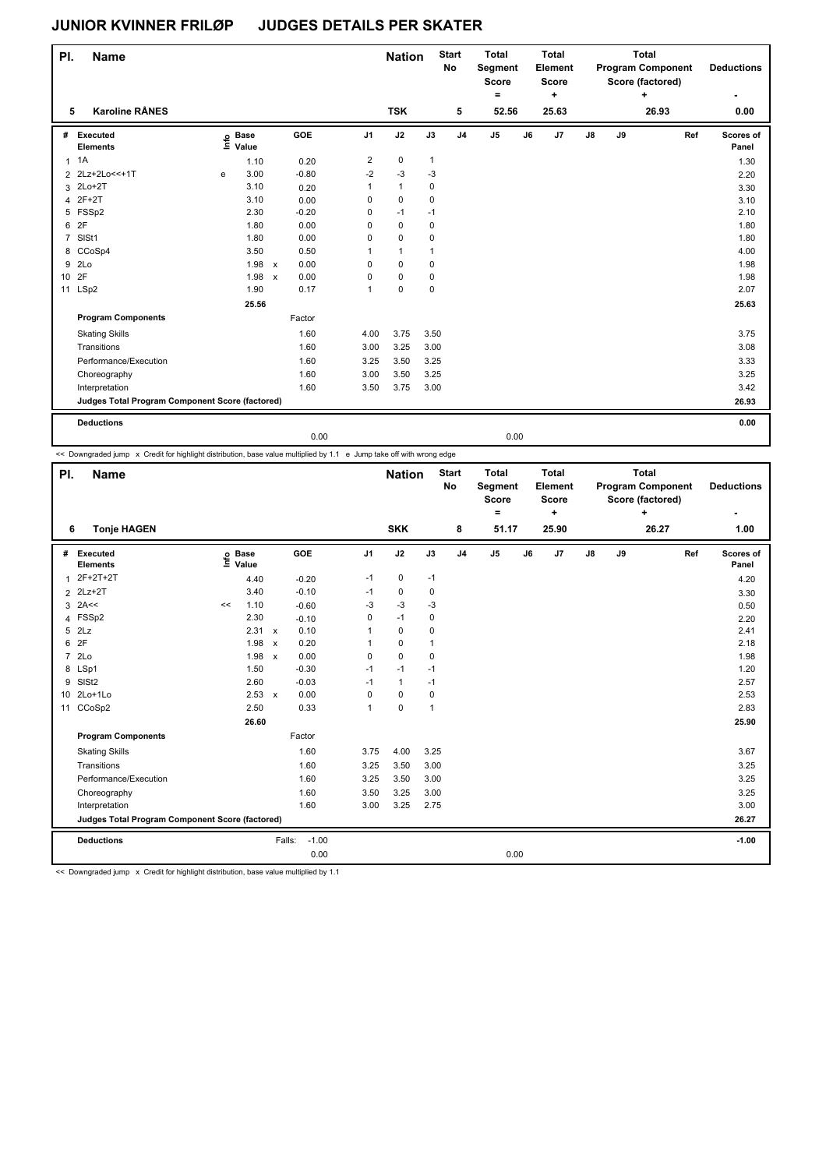| PI.             | <b>Name</b>                                     |   |                            |              |         |                | <b>Nation</b> |              | <b>Start</b><br>No | <b>Total</b><br>Segment<br><b>Score</b><br>۰ |    | <b>Total</b><br>Element<br><b>Score</b><br>٠ |    |    | <b>Total</b><br><b>Program Component</b><br>Score (factored)<br>۰. |     | <b>Deductions</b><br>٠    |
|-----------------|-------------------------------------------------|---|----------------------------|--------------|---------|----------------|---------------|--------------|--------------------|----------------------------------------------|----|----------------------------------------------|----|----|--------------------------------------------------------------------|-----|---------------------------|
| 5               | <b>Karoline RÅNES</b>                           |   |                            |              |         |                | <b>TSK</b>    |              | 5                  | 52.56                                        |    | 25.63                                        |    |    | 26.93                                                              |     | 0.00                      |
| #               | Executed<br><b>Elements</b>                     |   | e Base<br>E Value<br>Value |              | GOE     | J <sub>1</sub> | J2            | J3           | J4                 | J <sub>5</sub>                               | J6 | J7                                           | J8 | J9 |                                                                    | Ref | <b>Scores of</b><br>Panel |
| $\mathbf{1}$    | 1A                                              |   | 1.10                       |              | 0.20    | 2              | $\pmb{0}$     | $\mathbf{1}$ |                    |                                              |    |                                              |    |    |                                                                    |     | 1.30                      |
| $\overline{2}$  | 2Lz+2Lo<<+1T                                    | e | 3.00                       |              | $-0.80$ | $-2$           | $-3$          | $-3$         |                    |                                              |    |                                              |    |    |                                                                    |     | 2.20                      |
|                 | 3 2Lo+2T                                        |   | 3.10                       |              | 0.20    | 1              | $\mathbf{1}$  | 0            |                    |                                              |    |                                              |    |    |                                                                    |     | 3.30                      |
| 4               | $2F+2T$                                         |   | 3.10                       |              | 0.00    | 0              | $\pmb{0}$     | 0            |                    |                                              |    |                                              |    |    |                                                                    |     | 3.10                      |
|                 | 5 FSSp2                                         |   | 2.30                       |              | $-0.20$ | 0              | $-1$          | $-1$         |                    |                                              |    |                                              |    |    |                                                                    |     | 2.10                      |
| 6               | 2F                                              |   | 1.80                       |              | 0.00    | 0              | $\mathbf 0$   | 0            |                    |                                              |    |                                              |    |    |                                                                    |     | 1.80                      |
| $\overline{7}$  | SISt1                                           |   | 1.80                       |              | 0.00    | 0              | 0             | 0            |                    |                                              |    |                                              |    |    |                                                                    |     | 1.80                      |
|                 | 8 CCoSp4                                        |   | 3.50                       |              | 0.50    | 1              | $\mathbf{1}$  | 1            |                    |                                              |    |                                              |    |    |                                                                    |     | 4.00                      |
| 9               | 2Lo                                             |   | 1.98                       | $\mathsf{x}$ | 0.00    | 0              | 0             | 0            |                    |                                              |    |                                              |    |    |                                                                    |     | 1.98                      |
| 10 <sup>1</sup> | 2F                                              |   | 1.98                       | $\mathsf{x}$ | 0.00    | 0              | 0             | 0            |                    |                                              |    |                                              |    |    |                                                                    |     | 1.98                      |
| 11              | LSp2                                            |   | 1.90                       |              | 0.17    | 1              | 0             | 0            |                    |                                              |    |                                              |    |    |                                                                    |     | 2.07                      |
|                 |                                                 |   | 25.56                      |              |         |                |               |              |                    |                                              |    |                                              |    |    |                                                                    |     | 25.63                     |
|                 | <b>Program Components</b>                       |   |                            |              | Factor  |                |               |              |                    |                                              |    |                                              |    |    |                                                                    |     |                           |
|                 | <b>Skating Skills</b>                           |   |                            |              | 1.60    | 4.00           | 3.75          | 3.50         |                    |                                              |    |                                              |    |    |                                                                    |     | 3.75                      |
|                 | Transitions                                     |   |                            |              | 1.60    | 3.00           | 3.25          | 3.00         |                    |                                              |    |                                              |    |    |                                                                    |     | 3.08                      |
|                 | Performance/Execution                           |   |                            |              | 1.60    | 3.25           | 3.50          | 3.25         |                    |                                              |    |                                              |    |    |                                                                    |     | 3.33                      |
|                 | Choreography                                    |   |                            |              | 1.60    | 3.00           | 3.50          | 3.25         |                    |                                              |    |                                              |    |    |                                                                    |     | 3.25                      |
|                 | Interpretation                                  |   |                            |              | 1.60    | 3.50           | 3.75          | 3.00         |                    |                                              |    |                                              |    |    |                                                                    |     | 3.42                      |
|                 | Judges Total Program Component Score (factored) |   |                            |              |         |                |               |              |                    |                                              |    |                                              |    |    |                                                                    |     | 26.93                     |
|                 | <b>Deductions</b>                               |   |                            |              |         |                |               |              |                    |                                              |    |                                              |    |    |                                                                    |     | 0.00                      |
|                 |                                                 |   |                            |              | 0.00    |                |               |              |                    | 0.00                                         |    |                                              |    |    |                                                                    |     |                           |

<< Downgraded jump x Credit for highlight distribution, base value multiplied by 1.1 e Jump take off with wrong edge

| PI.            | <b>Name</b>                                     |      |                      |              |                   |                | <b>Nation</b> |                | <b>Start</b><br>No | <b>Total</b><br>Segment<br><b>Score</b><br>$\equiv$ |    | <b>Total</b><br>Element<br><b>Score</b><br>٠ |               |    | <b>Total</b><br><b>Program Component</b><br>Score (factored)<br>÷ |     | <b>Deductions</b>  |
|----------------|-------------------------------------------------|------|----------------------|--------------|-------------------|----------------|---------------|----------------|--------------------|-----------------------------------------------------|----|----------------------------------------------|---------------|----|-------------------------------------------------------------------|-----|--------------------|
| 6              | <b>Tonje HAGEN</b>                              |      |                      |              |                   |                | <b>SKK</b>    |                | 8                  | 51.17                                               |    | 25.90                                        |               |    | 26.27                                                             |     | 1.00               |
| #              | Executed<br><b>Elements</b>                     | lnfo | <b>Base</b><br>Value |              | GOE               | J <sub>1</sub> | J2            | J3             | J <sub>4</sub>     | J <sub>5</sub>                                      | J6 | J7                                           | $\mathsf{J}8$ | J9 |                                                                   | Ref | Scores of<br>Panel |
| $\mathbf{1}$   | 2F+2T+2T                                        |      | 4.40                 |              | $-0.20$           | $-1$           | 0             | $-1$           |                    |                                                     |    |                                              |               |    |                                                                   |     | 4.20               |
| $\overline{2}$ | $2Lz+2T$                                        |      | 3.40                 |              | $-0.10$           | $-1$           | 0             | 0              |                    |                                                     |    |                                              |               |    |                                                                   |     | 3.30               |
|                | $3$ 2A <<                                       | <<   | 1.10                 |              | $-0.60$           | $-3$           | $-3$          | -3             |                    |                                                     |    |                                              |               |    |                                                                   |     | 0.50               |
| 4              | FSSp2                                           |      | 2.30                 |              | $-0.10$           | 0              | $-1$          | 0              |                    |                                                     |    |                                              |               |    |                                                                   |     | 2.20               |
| 5              | 2Lz                                             |      | 2.31                 | $\mathsf{x}$ | 0.10              | 1              | $\mathbf 0$   | 0              |                    |                                                     |    |                                              |               |    |                                                                   |     | 2.41               |
| 6              | 2F                                              |      | 1.98                 | $\mathsf{x}$ | 0.20              | 1              | $\mathbf 0$   | $\mathbf{1}$   |                    |                                                     |    |                                              |               |    |                                                                   |     | 2.18               |
| $\overline{7}$ | 2Lo                                             |      | 1.98                 | $\mathsf{x}$ | 0.00              | 0              | $\mathbf 0$   | 0              |                    |                                                     |    |                                              |               |    |                                                                   |     | 1.98               |
| 8              | LSp1                                            |      | 1.50                 |              | $-0.30$           | $-1$           | $-1$          | $-1$           |                    |                                                     |    |                                              |               |    |                                                                   |     | 1.20               |
| 9              | SISt <sub>2</sub>                               |      | 2.60                 |              | $-0.03$           | $-1$           | $\mathbf{1}$  | $-1$           |                    |                                                     |    |                                              |               |    |                                                                   |     | 2.57               |
|                | 10 2Lo+1Lo                                      |      | 2.53 x               |              | 0.00              | 0              | $\mathbf 0$   | 0              |                    |                                                     |    |                                              |               |    |                                                                   |     | 2.53               |
| 11             | CCoSp2                                          |      | 2.50                 |              | 0.33              | 1              | $\mathbf 0$   | $\overline{1}$ |                    |                                                     |    |                                              |               |    |                                                                   |     | 2.83               |
|                |                                                 |      | 26.60                |              |                   |                |               |                |                    |                                                     |    |                                              |               |    |                                                                   |     | 25.90              |
|                | <b>Program Components</b>                       |      |                      |              | Factor            |                |               |                |                    |                                                     |    |                                              |               |    |                                                                   |     |                    |
|                | <b>Skating Skills</b>                           |      |                      |              | 1.60              | 3.75           | 4.00          | 3.25           |                    |                                                     |    |                                              |               |    |                                                                   |     | 3.67               |
|                | Transitions                                     |      |                      |              | 1.60              | 3.25           | 3.50          | 3.00           |                    |                                                     |    |                                              |               |    |                                                                   |     | 3.25               |
|                | Performance/Execution                           |      |                      |              | 1.60              | 3.25           | 3.50          | 3.00           |                    |                                                     |    |                                              |               |    |                                                                   |     | 3.25               |
|                | Choreography                                    |      |                      |              | 1.60              | 3.50           | 3.25          | 3.00           |                    |                                                     |    |                                              |               |    |                                                                   |     | 3.25               |
|                | Interpretation                                  |      |                      |              | 1.60              | 3.00           | 3.25          | 2.75           |                    |                                                     |    |                                              |               |    |                                                                   |     | 3.00               |
|                | Judges Total Program Component Score (factored) |      |                      |              |                   |                |               |                |                    |                                                     |    |                                              |               |    |                                                                   |     | 26.27              |
|                | <b>Deductions</b>                               |      |                      |              | $-1.00$<br>Falls: |                |               |                |                    |                                                     |    |                                              |               |    |                                                                   |     | $-1.00$            |
|                |                                                 |      |                      |              | 0.00              |                |               |                |                    | 0.00                                                |    |                                              |               |    |                                                                   |     |                    |

<< Downgraded jump x Credit for highlight distribution, base value multiplied by 1.1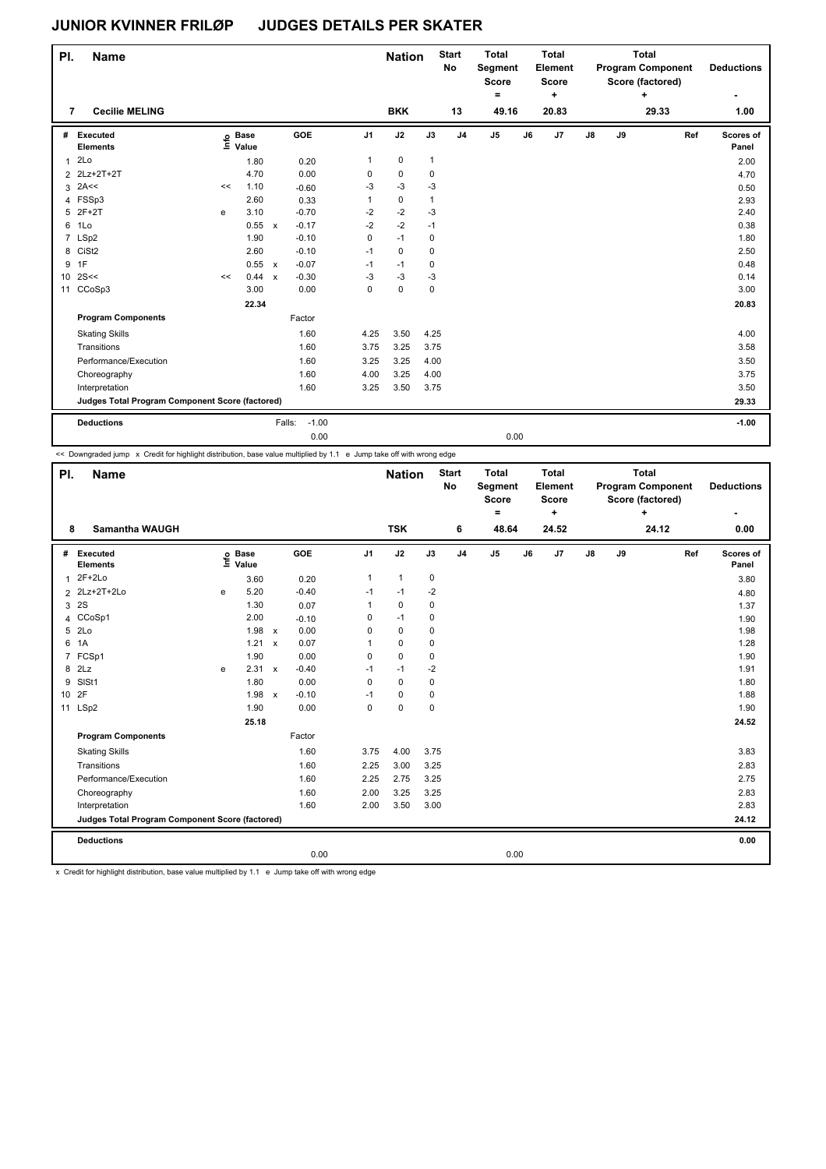| PI.             | <b>Name</b>                                     |    |                            |                           |                   |                | <b>Nation</b> |              | <b>Start</b><br>No | <b>Total</b><br>Segment<br><b>Score</b><br>٠ |    | <b>Total</b><br>Element<br><b>Score</b><br>÷ |    |    | <b>Total</b><br><b>Program Component</b><br>Score (factored)<br>$\ddot{}$ |     | <b>Deductions</b>  |
|-----------------|-------------------------------------------------|----|----------------------------|---------------------------|-------------------|----------------|---------------|--------------|--------------------|----------------------------------------------|----|----------------------------------------------|----|----|---------------------------------------------------------------------------|-----|--------------------|
| 7               | <b>Cecilie MELING</b>                           |    |                            |                           |                   |                | <b>BKK</b>    |              | 13                 | 49.16                                        |    | 20.83                                        |    |    | 29.33                                                                     |     | 1.00               |
| #               | Executed<br><b>Elements</b>                     |    | e Base<br>E Value<br>Value |                           | GOE               | J <sub>1</sub> | J2            | J3           | J <sub>4</sub>     | $\mathsf{J}5$                                | J6 | J7                                           | J8 | J9 |                                                                           | Ref | Scores of<br>Panel |
| $\mathbf{1}$    | 2Lo                                             |    | 1.80                       |                           | 0.20              | 1              | 0             | $\mathbf{1}$ |                    |                                              |    |                                              |    |    |                                                                           |     | 2.00               |
| $\overline{2}$  | 2Lz+2T+2T                                       |    | 4.70                       |                           | 0.00              | 0              | $\mathbf 0$   | 0            |                    |                                              |    |                                              |    |    |                                                                           |     | 4.70               |
| 3               | 2A<<                                            | << | 1.10                       |                           | $-0.60$           | $-3$           | $-3$          | $-3$         |                    |                                              |    |                                              |    |    |                                                                           |     | 0.50               |
|                 | 4 FSSp3                                         |    | 2.60                       |                           | 0.33              | 1              | 0             | $\mathbf{1}$ |                    |                                              |    |                                              |    |    |                                                                           |     | 2.93               |
| 5               | $2F+2T$                                         | e  | 3.10                       |                           | $-0.70$           | $-2$           | $-2$          | $-3$         |                    |                                              |    |                                              |    |    |                                                                           |     | 2.40               |
| 6               | 1Lo                                             |    | 0.55                       | $\mathsf{x}$              | $-0.17$           | $-2$           | $-2$          | $-1$         |                    |                                              |    |                                              |    |    |                                                                           |     | 0.38               |
|                 | 7 LSp2                                          |    | 1.90                       |                           | $-0.10$           | 0              | $-1$          | 0            |                    |                                              |    |                                              |    |    |                                                                           |     | 1.80               |
|                 | 8 CiSt2                                         |    | 2.60                       |                           | $-0.10$           | $-1$           | $\mathbf 0$   | 0            |                    |                                              |    |                                              |    |    |                                                                           |     | 2.50               |
| 9               | 1F                                              |    | 0.55                       | $\mathsf{x}$              | $-0.07$           | $-1$           | $-1$          | 0            |                    |                                              |    |                                              |    |    |                                                                           |     | 0.48               |
| 10 <sup>1</sup> | 2S<<                                            | << | 0.44                       | $\boldsymbol{\mathsf{x}}$ | $-0.30$           | $-3$           | $-3$          | $-3$         |                    |                                              |    |                                              |    |    |                                                                           |     | 0.14               |
| 11              | CCoSp3                                          |    | 3.00                       |                           | 0.00              | 0              | 0             | $\mathbf 0$  |                    |                                              |    |                                              |    |    |                                                                           |     | 3.00               |
|                 |                                                 |    | 22.34                      |                           |                   |                |               |              |                    |                                              |    |                                              |    |    |                                                                           |     | 20.83              |
|                 | <b>Program Components</b>                       |    |                            |                           | Factor            |                |               |              |                    |                                              |    |                                              |    |    |                                                                           |     |                    |
|                 | <b>Skating Skills</b>                           |    |                            |                           | 1.60              | 4.25           | 3.50          | 4.25         |                    |                                              |    |                                              |    |    |                                                                           |     | 4.00               |
|                 | Transitions                                     |    |                            |                           | 1.60              | 3.75           | 3.25          | 3.75         |                    |                                              |    |                                              |    |    |                                                                           |     | 3.58               |
|                 | Performance/Execution                           |    |                            |                           | 1.60              | 3.25           | 3.25          | 4.00         |                    |                                              |    |                                              |    |    |                                                                           |     | 3.50               |
|                 | Choreography                                    |    |                            |                           | 1.60              | 4.00           | 3.25          | 4.00         |                    |                                              |    |                                              |    |    |                                                                           |     | 3.75               |
|                 | Interpretation                                  |    |                            |                           | 1.60              | 3.25           | 3.50          | 3.75         |                    |                                              |    |                                              |    |    |                                                                           |     | 3.50               |
|                 | Judges Total Program Component Score (factored) |    |                            |                           |                   |                |               |              |                    |                                              |    |                                              |    |    |                                                                           |     | 29.33              |
|                 | <b>Deductions</b>                               |    |                            |                           | $-1.00$<br>Falls: |                |               |              |                    |                                              |    |                                              |    |    |                                                                           |     | $-1.00$            |
|                 |                                                 |    |                            |                           | 0.00              |                |               |              |                    | 0.00                                         |    |                                              |    |    |                                                                           |     |                    |

<< Downgraded jump x Credit for highlight distribution, base value multiplied by 1.1 e Jump take off with wrong edge

| PI.             | <b>Name</b>                                     |      |                      |              |         |                | <b>Nation</b>  |             | <b>Start</b><br>No | <b>Total</b><br>Segment<br><b>Score</b><br>$\equiv$ |    | <b>Total</b><br>Element<br><b>Score</b><br>+ |               |    | <b>Total</b><br><b>Program Component</b><br>Score (factored)<br>÷ |     | <b>Deductions</b>  |
|-----------------|-------------------------------------------------|------|----------------------|--------------|---------|----------------|----------------|-------------|--------------------|-----------------------------------------------------|----|----------------------------------------------|---------------|----|-------------------------------------------------------------------|-----|--------------------|
| 8               | <b>Samantha WAUGH</b>                           |      |                      |              |         |                | <b>TSK</b>     |             | 6                  | 48.64                                               |    | 24.52                                        |               |    | 24.12                                                             |     | 0.00               |
| #               | Executed<br><b>Elements</b>                     | ١nfo | <b>Base</b><br>Value |              | GOE     | J <sub>1</sub> | J2             | J3          | J <sub>4</sub>     | J <sub>5</sub>                                      | J6 | J7                                           | $\mathsf{J}8$ | J9 |                                                                   | Ref | Scores of<br>Panel |
| 1               | $2F+2Lo$                                        |      | 3.60                 |              | 0.20    | 1              | $\overline{1}$ | $\mathbf 0$ |                    |                                                     |    |                                              |               |    |                                                                   |     | 3.80               |
|                 | 2 2Lz+2T+2Lo                                    | e    | 5.20                 |              | $-0.40$ | $-1$           | $-1$           | $-2$        |                    |                                                     |    |                                              |               |    |                                                                   |     | 4.80               |
| 3               | 2S                                              |      | 1.30                 |              | 0.07    | 1              | $\Omega$       | $\mathbf 0$ |                    |                                                     |    |                                              |               |    |                                                                   |     | 1.37               |
| 4               | CCoSp1                                          |      | 2.00                 |              | $-0.10$ | 0              | $-1$           | $\mathbf 0$ |                    |                                                     |    |                                              |               |    |                                                                   |     | 1.90               |
| 5               | 2Lo                                             |      | 1.98                 | $\mathsf{x}$ | 0.00    | $\Omega$       | $\mathbf 0$    | 0           |                    |                                                     |    |                                              |               |    |                                                                   |     | 1.98               |
| 6               | 1A                                              |      | 1.21                 | $\mathsf{x}$ | 0.07    | 1              | 0              | 0           |                    |                                                     |    |                                              |               |    |                                                                   |     | 1.28               |
| 7               | FCSp1                                           |      | 1.90                 |              | 0.00    | 0              | $\mathbf 0$    | $\mathbf 0$ |                    |                                                     |    |                                              |               |    |                                                                   |     | 1.90               |
| 8               | 2Lz                                             | e    | 2.31 x               |              | $-0.40$ | $-1$           | $-1$           | $-2$        |                    |                                                     |    |                                              |               |    |                                                                   |     | 1.91               |
| 9               | SISt1                                           |      | 1.80                 |              | 0.00    | 0              | $\mathbf 0$    | $\mathbf 0$ |                    |                                                     |    |                                              |               |    |                                                                   |     | 1.80               |
| 10 <sup>1</sup> | 2F                                              |      | $1.98 \times$        |              | $-0.10$ | $-1$           | $\mathbf 0$    | 0           |                    |                                                     |    |                                              |               |    |                                                                   |     | 1.88               |
| 11              | LSp2                                            |      | 1.90                 |              | 0.00    | 0              | $\mathbf 0$    | $\mathbf 0$ |                    |                                                     |    |                                              |               |    |                                                                   |     | 1.90               |
|                 |                                                 |      | 25.18                |              |         |                |                |             |                    |                                                     |    |                                              |               |    |                                                                   |     | 24.52              |
|                 | <b>Program Components</b>                       |      |                      |              | Factor  |                |                |             |                    |                                                     |    |                                              |               |    |                                                                   |     |                    |
|                 | <b>Skating Skills</b>                           |      |                      |              | 1.60    | 3.75           | 4.00           | 3.75        |                    |                                                     |    |                                              |               |    |                                                                   |     | 3.83               |
|                 | Transitions                                     |      |                      |              | 1.60    | 2.25           | 3.00           | 3.25        |                    |                                                     |    |                                              |               |    |                                                                   |     | 2.83               |
|                 | Performance/Execution                           |      |                      |              | 1.60    | 2.25           | 2.75           | 3.25        |                    |                                                     |    |                                              |               |    |                                                                   |     | 2.75               |
|                 | Choreography                                    |      |                      |              | 1.60    | 2.00           | 3.25           | 3.25        |                    |                                                     |    |                                              |               |    |                                                                   |     | 2.83               |
|                 | Interpretation                                  |      |                      |              | 1.60    | 2.00           | 3.50           | 3.00        |                    |                                                     |    |                                              |               |    |                                                                   |     | 2.83               |
|                 | Judges Total Program Component Score (factored) |      |                      |              |         |                |                |             |                    |                                                     |    |                                              |               |    |                                                                   |     | 24.12              |
|                 | <b>Deductions</b>                               |      |                      |              |         |                |                |             |                    |                                                     |    |                                              |               |    |                                                                   |     | 0.00               |
|                 |                                                 |      |                      |              | 0.00    |                |                |             |                    | 0.00                                                |    |                                              |               |    |                                                                   |     |                    |

x Credit for highlight distribution, base value multiplied by 1.1 e Jump take off with wrong edge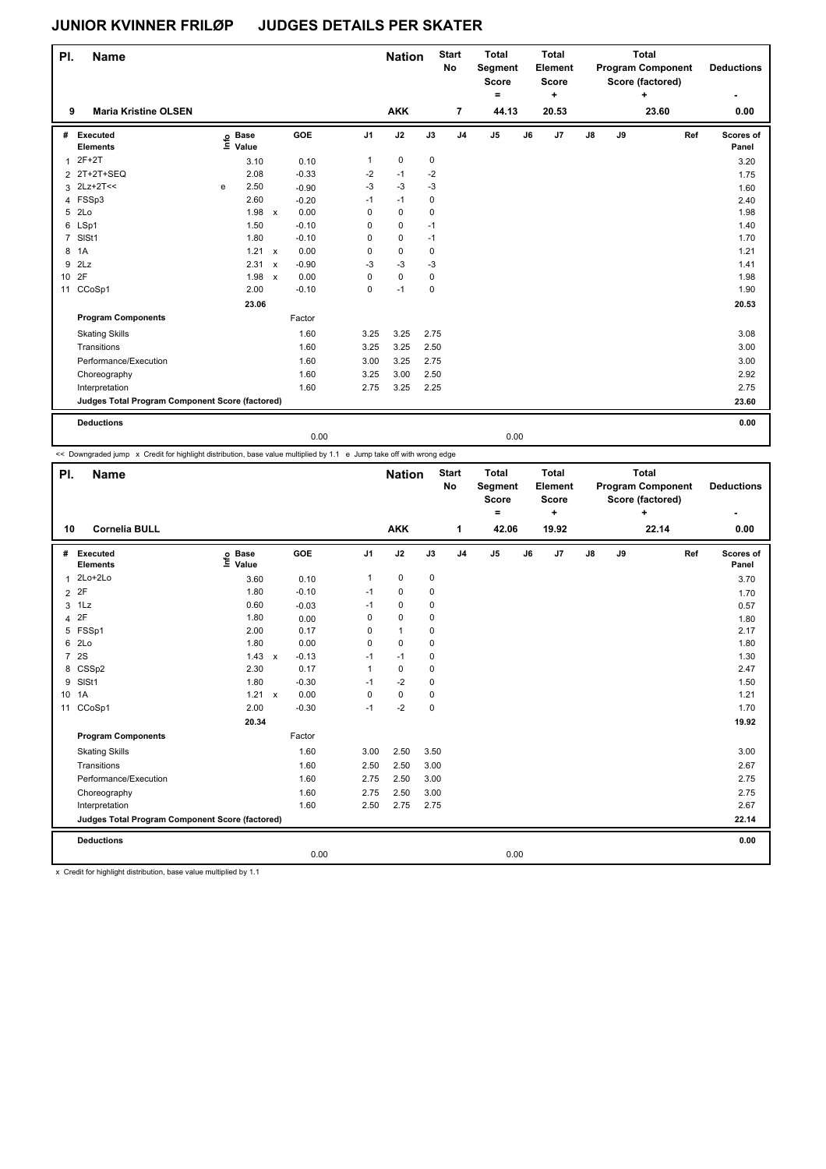| PI.   | Name                                            |   |                 |              |         |             | <b>Nation</b> |             | <b>Start</b><br>No | <b>Total</b><br>Segment<br><b>Score</b><br>$\equiv$ |    | <b>Total</b><br>Element<br><b>Score</b><br>٠ |               |    | <b>Total</b><br><b>Program Component</b><br>Score (factored)<br>÷ |     | <b>Deductions</b>  |
|-------|-------------------------------------------------|---|-----------------|--------------|---------|-------------|---------------|-------------|--------------------|-----------------------------------------------------|----|----------------------------------------------|---------------|----|-------------------------------------------------------------------|-----|--------------------|
| 9     | <b>Maria Kristine OLSEN</b>                     |   |                 |              |         |             | <b>AKK</b>    |             | 7                  | 44.13                                               |    | 20.53                                        |               |    | 23.60                                                             |     | 0.00               |
| #     | Executed<br><b>Elements</b>                     | Ξ | o Base<br>Value |              | GOE     | J1          | J2            | J3          | J <sub>4</sub>     | J <sub>5</sub>                                      | J6 | J7                                           | $\mathsf{J}8$ | J9 |                                                                   | Ref | Scores of<br>Panel |
| 1     | $2F+2T$                                         |   | 3.10            |              | 0.10    | 1           | $\pmb{0}$     | 0           |                    |                                                     |    |                                              |               |    |                                                                   |     | 3.20               |
|       | 2 2T+2T+SEQ                                     |   | 2.08            |              | $-0.33$ | $-2$        | $-1$          | $-2$        |                    |                                                     |    |                                              |               |    |                                                                   |     | 1.75               |
|       | $3$ 2Lz+2T <<                                   | e | 2.50            |              | $-0.90$ | $-3$        | $-3$          | $-3$        |                    |                                                     |    |                                              |               |    |                                                                   |     | 1.60               |
|       | 4 FSSp3                                         |   | 2.60            |              | $-0.20$ | $-1$        | $-1$          | 0           |                    |                                                     |    |                                              |               |    |                                                                   |     | 2.40               |
|       | 5 2Lo                                           |   | 1.98            | $\mathsf{x}$ | 0.00    | $\mathbf 0$ | $\mathbf 0$   | $\mathbf 0$ |                    |                                                     |    |                                              |               |    |                                                                   |     | 1.98               |
|       | 6 LSp1                                          |   | 1.50            |              | $-0.10$ | 0           | $\pmb{0}$     | $-1$        |                    |                                                     |    |                                              |               |    |                                                                   |     | 1.40               |
| 7     | SISt1                                           |   | 1.80            |              | $-0.10$ | 0           | $\pmb{0}$     | $-1$        |                    |                                                     |    |                                              |               |    |                                                                   |     | 1.70               |
|       | 8 1A                                            |   | $1.21 \times$   |              | 0.00    | 0           | $\mathbf 0$   | $\mathbf 0$ |                    |                                                     |    |                                              |               |    |                                                                   |     | 1.21               |
| 9     | 2Lz                                             |   | 2.31            | $\mathsf{x}$ | $-0.90$ | $-3$        | $-3$          | $-3$        |                    |                                                     |    |                                              |               |    |                                                                   |     | 1.41               |
| 10 2F |                                                 |   | 1.98            | $\mathsf{x}$ | 0.00    | 0           | $\pmb{0}$     | 0           |                    |                                                     |    |                                              |               |    |                                                                   |     | 1.98               |
|       | 11 CCoSp1                                       |   | 2.00            |              | $-0.10$ | $\mathbf 0$ | $-1$          | 0           |                    |                                                     |    |                                              |               |    |                                                                   |     | 1.90               |
|       |                                                 |   | 23.06           |              |         |             |               |             |                    |                                                     |    |                                              |               |    |                                                                   |     | 20.53              |
|       | <b>Program Components</b>                       |   |                 |              | Factor  |             |               |             |                    |                                                     |    |                                              |               |    |                                                                   |     |                    |
|       | <b>Skating Skills</b>                           |   |                 |              | 1.60    | 3.25        | 3.25          | 2.75        |                    |                                                     |    |                                              |               |    |                                                                   |     | 3.08               |
|       | Transitions                                     |   |                 |              | 1.60    | 3.25        | 3.25          | 2.50        |                    |                                                     |    |                                              |               |    |                                                                   |     | 3.00               |
|       | Performance/Execution                           |   |                 |              | 1.60    | 3.00        | 3.25          | 2.75        |                    |                                                     |    |                                              |               |    |                                                                   |     | 3.00               |
|       | Choreography                                    |   |                 |              | 1.60    | 3.25        | 3.00          | 2.50        |                    |                                                     |    |                                              |               |    |                                                                   |     | 2.92               |
|       | Interpretation                                  |   |                 |              | 1.60    | 2.75        | 3.25          | 2.25        |                    |                                                     |    |                                              |               |    |                                                                   |     | 2.75               |
|       | Judges Total Program Component Score (factored) |   |                 |              |         |             |               |             |                    |                                                     |    |                                              |               |    |                                                                   |     | 23.60              |
|       | <b>Deductions</b>                               |   |                 |              |         |             |               |             |                    |                                                     |    |                                              |               |    |                                                                   |     | 0.00               |
|       |                                                 |   |                 |              | 0.00    |             |               |             |                    | 0.00                                                |    |                                              |               |    |                                                                   |     |                    |

<< Downgraded jump x Credit for highlight distribution, base value multiplied by 1.1 e Jump take off with wrong edge

| PI.            | <b>Name</b>                                     |                                  |              |         |                | <b>Nation</b> |             | <b>Start</b><br><b>No</b> | <b>Total</b><br>Segment<br><b>Score</b><br>٠ |    | Total<br>Element<br><b>Score</b><br>+ |               |    | <b>Total</b><br><b>Program Component</b><br>Score (factored)<br>÷ |     | <b>Deductions</b>  |
|----------------|-------------------------------------------------|----------------------------------|--------------|---------|----------------|---------------|-------------|---------------------------|----------------------------------------------|----|---------------------------------------|---------------|----|-------------------------------------------------------------------|-----|--------------------|
| 10             | <b>Cornelia BULL</b>                            |                                  |              |         |                | <b>AKK</b>    |             | 1                         | 42.06                                        |    | 19.92                                 |               |    | 22.14                                                             |     | 0.00               |
|                | # Executed<br><b>Elements</b>                   | <b>Base</b><br>e Base<br>⊆ Value |              | GOE     | J <sub>1</sub> | J2            | J3          | J <sub>4</sub>            | J5                                           | J6 | J7                                    | $\mathsf{J}8$ | J9 |                                                                   | Ref | Scores of<br>Panel |
| $\mathbf{1}$   | 2Lo+2Lo                                         | 3.60                             |              | 0.10    | 1              | $\mathbf 0$   | $\mathbf 0$ |                           |                                              |    |                                       |               |    |                                                                   |     | 3.70               |
| $\overline{2}$ | 2F                                              | 1.80                             |              | $-0.10$ | $-1$           | 0             | 0           |                           |                                              |    |                                       |               |    |                                                                   |     | 1.70               |
| 3              | 1Lz                                             | 0.60                             |              | $-0.03$ | $-1$           | 0             | 0           |                           |                                              |    |                                       |               |    |                                                                   |     | 0.57               |
| 4              | 2F                                              | 1.80                             |              | 0.00    | 0              | $\mathbf 0$   | 0           |                           |                                              |    |                                       |               |    |                                                                   |     | 1.80               |
|                | 5 FSSp1                                         | 2.00                             |              | 0.17    | 0              | $\mathbf{1}$  | 0           |                           |                                              |    |                                       |               |    |                                                                   |     | 2.17               |
| 6              | 2Lo                                             | 1.80                             |              | 0.00    | 0              | $\Omega$      | $\Omega$    |                           |                                              |    |                                       |               |    |                                                                   |     | 1.80               |
| $\overline{7}$ | 2S                                              | 1.43                             | $\mathsf{x}$ | $-0.13$ | $-1$           | $-1$          | $\mathbf 0$ |                           |                                              |    |                                       |               |    |                                                                   |     | 1.30               |
| 8              | CSSp2                                           | 2.30                             |              | 0.17    | 1              | $\mathbf 0$   | 0           |                           |                                              |    |                                       |               |    |                                                                   |     | 2.47               |
| 9              | SISt1                                           | 1.80                             |              | $-0.30$ | $-1$           | $-2$          | $\mathbf 0$ |                           |                                              |    |                                       |               |    |                                                                   |     | 1.50               |
|                | 10 1A                                           | 1.21 x                           |              | 0.00    | 0              | $\mathbf 0$   | $\mathbf 0$ |                           |                                              |    |                                       |               |    |                                                                   |     | 1.21               |
| 11             | CCoSp1                                          | 2.00                             |              | $-0.30$ | $-1$           | $-2$          | $\mathbf 0$ |                           |                                              |    |                                       |               |    |                                                                   |     | 1.70               |
|                |                                                 | 20.34                            |              |         |                |               |             |                           |                                              |    |                                       |               |    |                                                                   |     | 19.92              |
|                | <b>Program Components</b>                       |                                  |              | Factor  |                |               |             |                           |                                              |    |                                       |               |    |                                                                   |     |                    |
|                | <b>Skating Skills</b>                           |                                  |              | 1.60    | 3.00           | 2.50          | 3.50        |                           |                                              |    |                                       |               |    |                                                                   |     | 3.00               |
|                | Transitions                                     |                                  |              | 1.60    | 2.50           | 2.50          | 3.00        |                           |                                              |    |                                       |               |    |                                                                   |     | 2.67               |
|                | Performance/Execution                           |                                  |              | 1.60    | 2.75           | 2.50          | 3.00        |                           |                                              |    |                                       |               |    |                                                                   |     | 2.75               |
|                | Choreography                                    |                                  |              | 1.60    | 2.75           | 2.50          | 3.00        |                           |                                              |    |                                       |               |    |                                                                   |     | 2.75               |
|                | Interpretation                                  |                                  |              | 1.60    | 2.50           | 2.75          | 2.75        |                           |                                              |    |                                       |               |    |                                                                   |     | 2.67               |
|                | Judges Total Program Component Score (factored) |                                  |              |         |                |               |             |                           |                                              |    |                                       |               |    |                                                                   |     | 22.14              |
|                | <b>Deductions</b>                               |                                  |              |         |                |               |             |                           |                                              |    |                                       |               |    |                                                                   |     | 0.00               |
|                |                                                 |                                  |              | 0.00    |                |               |             |                           | 0.00                                         |    |                                       |               |    |                                                                   |     |                    |

x Credit for highlight distribution, base value multiplied by 1.1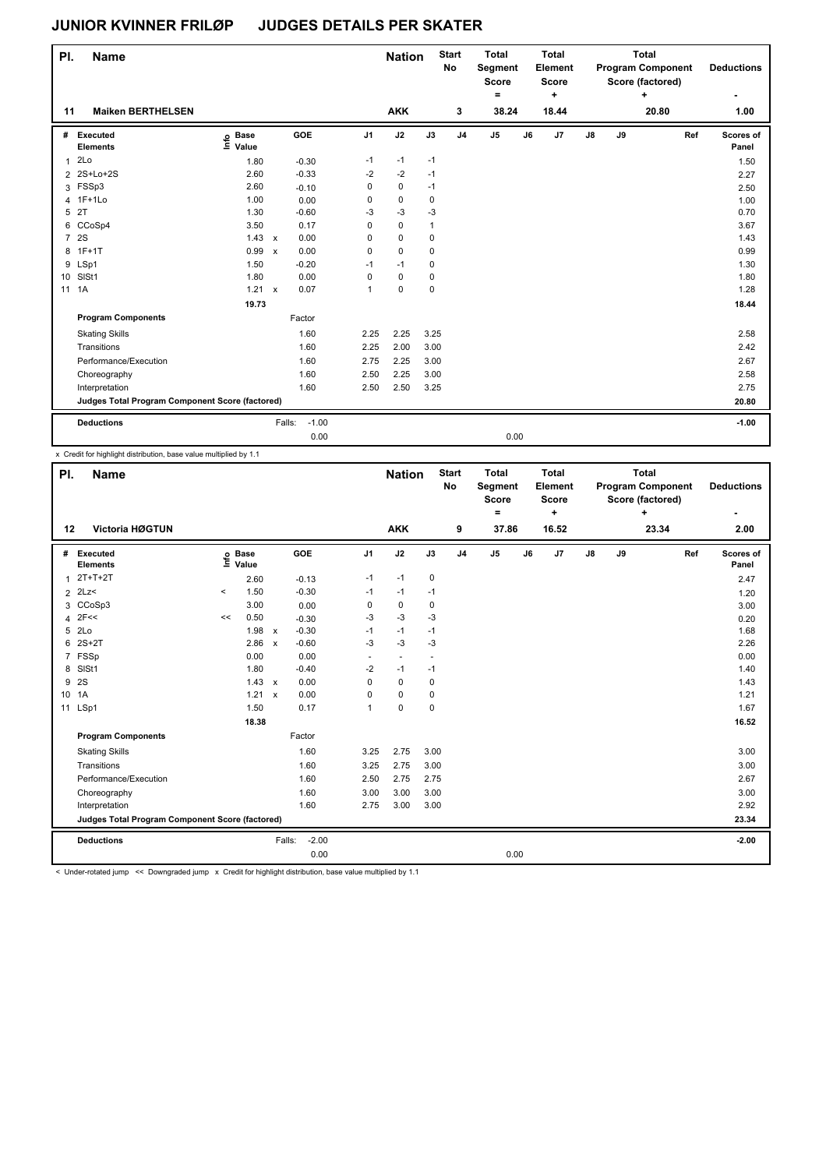| PI.            | <b>Name</b>                                     |                            |              |         |                | <b>Nation</b> |      | <b>Start</b><br><b>No</b> | <b>Total</b><br>Segment<br><b>Score</b><br>۰ |    | Total<br>Element<br><b>Score</b><br>٠ |    |    | <b>Total</b><br><b>Program Component</b><br>Score (factored)<br>÷ |     | <b>Deductions</b>  |
|----------------|-------------------------------------------------|----------------------------|--------------|---------|----------------|---------------|------|---------------------------|----------------------------------------------|----|---------------------------------------|----|----|-------------------------------------------------------------------|-----|--------------------|
| 11             | <b>Maiken BERTHELSEN</b>                        |                            |              |         |                | <b>AKK</b>    |      | 3                         | 38.24                                        |    | 18.44                                 |    |    | 20.80                                                             |     | 1.00               |
| #              | Executed<br><b>Elements</b>                     | e Base<br>E Value<br>Value |              | GOE     | J <sub>1</sub> | J2            | J3   | J <sub>4</sub>            | J <sub>5</sub>                               | J6 | J7                                    | J8 | J9 |                                                                   | Ref | Scores of<br>Panel |
| $\mathbf{1}$   | 2Lo                                             | 1.80                       |              | $-0.30$ | $-1$           | $-1$          | $-1$ |                           |                                              |    |                                       |    |    |                                                                   |     | 1.50               |
|                | 2 2S+Lo+2S                                      | 2.60                       |              | $-0.33$ | $-2$           | $-2$          | $-1$ |                           |                                              |    |                                       |    |    |                                                                   |     | 2.27               |
|                | 3 FSSp3                                         | 2.60                       |              | $-0.10$ | $\Omega$       | 0             | $-1$ |                           |                                              |    |                                       |    |    |                                                                   |     | 2.50               |
|                | 4 1F+1Lo                                        | 1.00                       |              | 0.00    | 0              | $\mathbf 0$   | 0    |                           |                                              |    |                                       |    |    |                                                                   |     | 1.00               |
| 5              | 2T                                              | 1.30                       |              | $-0.60$ | $-3$           | $-3$          | $-3$ |                           |                                              |    |                                       |    |    |                                                                   |     | 0.70               |
|                | 6 CCoSp4                                        | 3.50                       |              | 0.17    | 0              | 0             | 1    |                           |                                              |    |                                       |    |    |                                                                   |     | 3.67               |
| $\overline{7}$ | 2S                                              | 1.43                       | $\mathsf{x}$ | 0.00    | $\Omega$       | 0             | 0    |                           |                                              |    |                                       |    |    |                                                                   |     | 1.43               |
| 8              | $1F+1T$                                         | 0.99                       | $\mathsf{x}$ | 0.00    | $\Omega$       | $\Omega$      | 0    |                           |                                              |    |                                       |    |    |                                                                   |     | 0.99               |
| 9              | LSp1                                            | 1.50                       |              | $-0.20$ | $-1$           | $-1$          | 0    |                           |                                              |    |                                       |    |    |                                                                   |     | 1.30               |
|                | 10 SISt1                                        | 1.80                       |              | 0.00    | 0              | 0             | 0    |                           |                                              |    |                                       |    |    |                                                                   |     | 1.80               |
|                | 11 1A                                           | 1.21 x                     |              | 0.07    | 1              | 0             | 0    |                           |                                              |    |                                       |    |    |                                                                   |     | 1.28               |
|                |                                                 | 19.73                      |              |         |                |               |      |                           |                                              |    |                                       |    |    |                                                                   |     | 18.44              |
|                | <b>Program Components</b>                       |                            |              | Factor  |                |               |      |                           |                                              |    |                                       |    |    |                                                                   |     |                    |
|                | <b>Skating Skills</b>                           |                            |              | 1.60    | 2.25           | 2.25          | 3.25 |                           |                                              |    |                                       |    |    |                                                                   |     | 2.58               |
|                | Transitions                                     |                            |              | 1.60    | 2.25           | 2.00          | 3.00 |                           |                                              |    |                                       |    |    |                                                                   |     | 2.42               |
|                | Performance/Execution                           |                            |              | 1.60    | 2.75           | 2.25          | 3.00 |                           |                                              |    |                                       |    |    |                                                                   |     | 2.67               |
|                | Choreography                                    |                            |              | 1.60    | 2.50           | 2.25          | 3.00 |                           |                                              |    |                                       |    |    |                                                                   |     | 2.58               |
|                | Interpretation                                  |                            |              | 1.60    | 2.50           | 2.50          | 3.25 |                           |                                              |    |                                       |    |    |                                                                   |     | 2.75               |
|                | Judges Total Program Component Score (factored) |                            |              |         |                |               |      |                           |                                              |    |                                       |    |    |                                                                   |     | 20.80              |
|                | <b>Deductions</b>                               |                            | Falls:       | $-1.00$ |                |               |      |                           |                                              |    |                                       |    |    |                                                                   |     | $-1.00$            |
|                |                                                 |                            |              | 0.00    |                |               |      |                           | 0.00                                         |    |                                       |    |    |                                                                   |     |                    |

x Credit for highlight distribution, base value multiplied by 1.1

| PI.             | <b>Name</b>                                     |          |                      |              |         |                          | <b>Nation</b> |                          | <b>Start</b><br>No | <b>Total</b><br>Segment<br><b>Score</b><br>۰ |    | <b>Total</b><br>Element<br><b>Score</b><br>÷ |               |    | <b>Total</b><br><b>Program Component</b><br>Score (factored)<br>÷ |     | <b>Deductions</b>  |
|-----------------|-------------------------------------------------|----------|----------------------|--------------|---------|--------------------------|---------------|--------------------------|--------------------|----------------------------------------------|----|----------------------------------------------|---------------|----|-------------------------------------------------------------------|-----|--------------------|
| 12              | Victoria HØGTUN                                 |          |                      |              |         |                          | <b>AKK</b>    |                          | 9                  | 37.86                                        |    | 16.52                                        |               |    | 23.34                                                             |     | 2.00               |
| #               | Executed<br><b>Elements</b>                     | Info     | <b>Base</b><br>Value |              | GOE     | J <sub>1</sub>           | J2            | J3                       | J <sub>4</sub>     | J <sub>5</sub>                               | J6 | J7                                           | $\mathsf{J}8$ | J9 |                                                                   | Ref | Scores of<br>Panel |
| 1               | $2T+T+2T$                                       |          | 2.60                 |              | $-0.13$ | $-1$                     | $-1$          | 0                        |                    |                                              |    |                                              |               |    |                                                                   |     | 2.47               |
| $\overline{2}$  | 2Lz                                             | $\hat{}$ | 1.50                 |              | $-0.30$ | $-1$                     | $-1$          | $-1$                     |                    |                                              |    |                                              |               |    |                                                                   |     | 1.20               |
| 3               | CCoSp3                                          |          | 3.00                 |              | 0.00    | 0                        | $\mathbf 0$   | $\mathbf 0$              |                    |                                              |    |                                              |               |    |                                                                   |     | 3.00               |
| 4               | 2F<<                                            | <<       | 0.50                 |              | $-0.30$ | -3                       | $-3$          | $-3$                     |                    |                                              |    |                                              |               |    |                                                                   |     | 0.20               |
| 5               | 2Lo                                             |          | 1.98                 | $\mathsf{x}$ | $-0.30$ | $-1$                     | $-1$          | $-1$                     |                    |                                              |    |                                              |               |    |                                                                   |     | 1.68               |
| 6               | $2S+2T$                                         |          | 2.86                 | $\mathsf{x}$ | $-0.60$ | $-3$                     | $-3$          | -3                       |                    |                                              |    |                                              |               |    |                                                                   |     | 2.26               |
|                 | 7 FSSp                                          |          | 0.00                 |              | 0.00    | $\overline{\phantom{m}}$ | ٠             | $\overline{\phantom{a}}$ |                    |                                              |    |                                              |               |    |                                                                   |     | 0.00               |
| 8               | SISt1                                           |          | 1.80                 |              | $-0.40$ | $-2$                     | $-1$          | $-1$                     |                    |                                              |    |                                              |               |    |                                                                   |     | 1.40               |
| 9               | 2S                                              |          | 1.43                 | $\mathsf{x}$ | 0.00    | $\Omega$                 | $\mathbf 0$   | $\mathbf 0$              |                    |                                              |    |                                              |               |    |                                                                   |     | 1.43               |
| 10 <sup>1</sup> | 1A                                              |          | 1.21                 | $\mathbf{x}$ | 0.00    | $\Omega$                 | $\mathbf 0$   | $\mathbf 0$              |                    |                                              |    |                                              |               |    |                                                                   |     | 1.21               |
| 11              | LSp1                                            |          | 1.50                 |              | 0.17    | $\mathbf{1}$             | $\pmb{0}$     | 0                        |                    |                                              |    |                                              |               |    |                                                                   |     | 1.67               |
|                 |                                                 |          | 18.38                |              |         |                          |               |                          |                    |                                              |    |                                              |               |    |                                                                   |     | 16.52              |
|                 | <b>Program Components</b>                       |          |                      |              | Factor  |                          |               |                          |                    |                                              |    |                                              |               |    |                                                                   |     |                    |
|                 | <b>Skating Skills</b>                           |          |                      |              | 1.60    | 3.25                     | 2.75          | 3.00                     |                    |                                              |    |                                              |               |    |                                                                   |     | 3.00               |
|                 | Transitions                                     |          |                      |              | 1.60    | 3.25                     | 2.75          | 3.00                     |                    |                                              |    |                                              |               |    |                                                                   |     | 3.00               |
|                 | Performance/Execution                           |          |                      |              | 1.60    | 2.50                     | 2.75          | 2.75                     |                    |                                              |    |                                              |               |    |                                                                   |     | 2.67               |
|                 | Choreography                                    |          |                      |              | 1.60    | 3.00                     | 3.00          | 3.00                     |                    |                                              |    |                                              |               |    |                                                                   |     | 3.00               |
|                 | Interpretation                                  |          |                      |              | 1.60    | 2.75                     | 3.00          | 3.00                     |                    |                                              |    |                                              |               |    |                                                                   |     | 2.92               |
|                 | Judges Total Program Component Score (factored) |          |                      |              |         |                          |               |                          |                    |                                              |    |                                              |               |    |                                                                   |     | 23.34              |
|                 | <b>Deductions</b>                               |          |                      | Falls:       | $-2.00$ |                          |               |                          |                    |                                              |    |                                              |               |    |                                                                   |     | $-2.00$            |
|                 |                                                 |          |                      |              | 0.00    |                          |               |                          |                    | 0.00                                         |    |                                              |               |    |                                                                   |     |                    |

< Under-rotated jump << Downgraded jump x Credit for highlight distribution, base value multiplied by 1.1